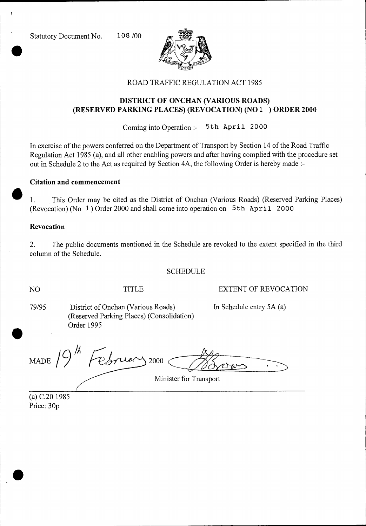Statutory Document No. 108 /00



### ROAD TRAFFIC REGULATION ACT 1985

## **DISTRICT OF ONCHAN (VARIOUS ROADS) (RESERVED PARKING PLACES) (REVOCATION) (NO 1 ) ORDER 2000**

Coming into Operation :- 5th April 2000

In exercise of the powers conferred on the Department of Transport by Section 14 of the Road Traffic Regulation Act 1985 (a), and all other enabling powers and after having complied with the procedure set out in Schedule 2 to the Act as required by Section 4A, the following Order is hereby made :-

#### **Citation and commencement**

1. This Order may be cited as the District of Onchan (Various Roads) (Reserved Parking Places) (Revocation) (No  $1$ ) Order 2000 and shall come into operation on  $5th$  April 2000

### **Revocation**

2. The public documents mentioned in the Schedule are revoked to the extent specified in the third column of the Schedule.

#### **SCHEDULE**

NO TITLE EXTENT OF REVOCATION

79/95 District of Onchan (Various Roads) In Schedule entry 5A (a) (Reserved Parking Places) (Consolidation) Order 1995

MADE  $19<sup>th</sup>$  February 2000

Minister for Transport

(a) C.20 1985 Price: 30p

•